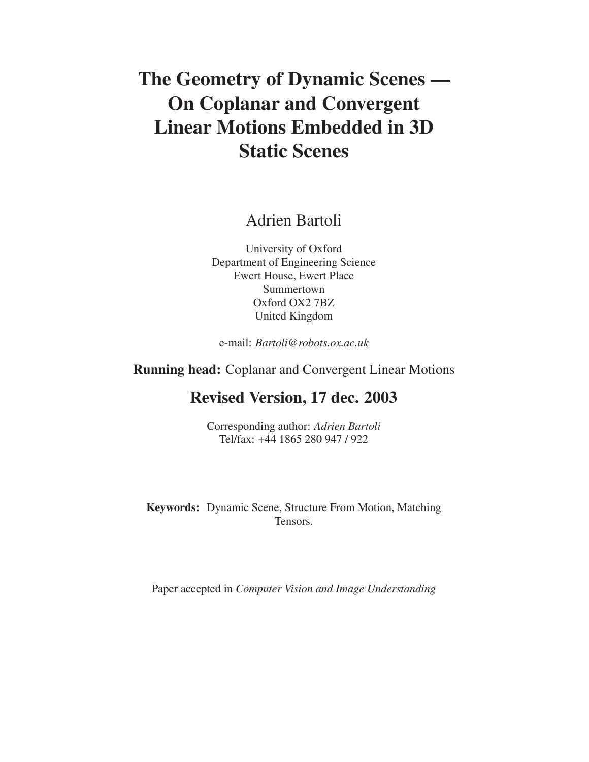# **The Geometry of Dynamic Scenes — On Coplanar and Convergent Linear Motions Embedded in 3D Static Scenes**

# Adrien Bartoli

University of Oxford Department of Engineering Science Ewert House, Ewert Place Summertown Oxford OX2 7BZ United Kingdom

e-mail: *Bartoli@robots.ox.ac.uk*

**Running head:** Coplanar and Convergent Linear Motions

# **Revised Version, 17 dec. 2003**

Corresponding author: *Adrien Bartoli* Tel/fax: +44 1865 280 947 / 922

**Keywords:** Dynamic Scene, Structure From Motion, Matching Tensors.

Paper accepted in *Computer Vision and Image Understanding*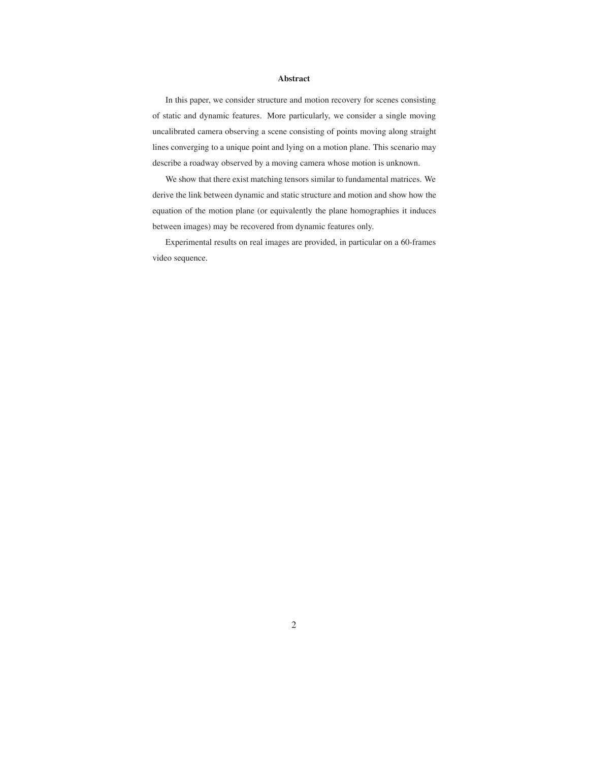#### **Abstract**

In this paper, we consider structure and motion recovery for scenes consisting of static and dynamic features. More particularly, we consider a single moving uncalibrated camera observing a scene consisting of points moving along straight lines converging to a unique point and lying on a motion plane. This scenario may describe a roadway observed by a moving camera whose motion is unknown.

We show that there exist matching tensors similar to fundamental matrices. We derive the link between dynamic and static structure and motion and show how the equation of the motion plane (or equivalently the plane homographies it induces between images) may be recovered from dynamic features only.

Experimental results on real images are provided, in particular on a 60-frames video sequence.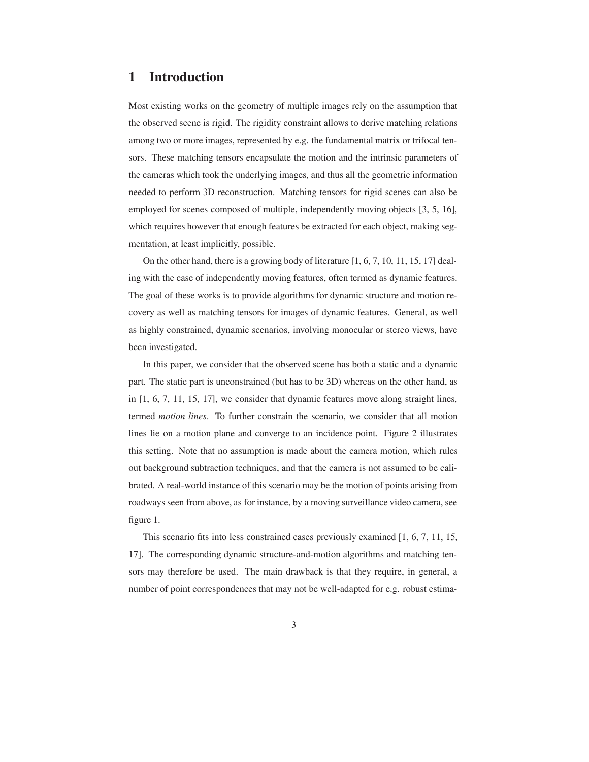## **1 Introduction**

Most existing works on the geometry of multiple images rely on the assumption that the observed scene is rigid. The rigidity constraint allows to derive matching relations among two or more images, represented by e.g. the fundamental matrix or trifocal tensors. These matching tensors encapsulate the motion and the intrinsic parameters of the cameras which took the underlying images, and thus all the geometric information needed to perform 3D reconstruction. Matching tensors for rigid scenes can also be employed for scenes composed of multiple, independently moving objects [3, 5, 16], which requires however that enough features be extracted for each object, making segmentation, at least implicitly, possible.

On the other hand, there is a growing body of literature  $[1, 6, 7, 10, 11, 15, 17]$  dealing with the case of independently moving features, often termed as dynamic features. The goal of these works is to provide algorithms for dynamic structure and motion recovery as well as matching tensors for images of dynamic features. General, as well as highly constrained, dynamic scenarios, involving monocular or stereo views, have been investigated.

In this paper, we consider that the observed scene has both a static and a dynamic part. The static part is unconstrained (but has to be 3D) whereas on the other hand, as in [1, 6, 7, 11, 15, 17], we consider that dynamic features move along straight lines, termed *motion lines*. To further constrain the scenario, we consider that all motion lines lie on a motion plane and converge to an incidence point. Figure 2 illustrates this setting. Note that no assumption is made about the camera motion, which rules out background subtraction techniques, and that the camera is not assumed to be calibrated. A real-world instance of this scenario may be the motion of points arising from roadways seen from above, as for instance, by a moving surveillance video camera, see figure 1.

This scenario fits into less constrained cases previously examined [1, 6, 7, 11, 15, 17]. The corresponding dynamic structure-and-motion algorithms and matching tensors may therefore be used. The main drawback is that they require, in general, a number of point correspondences that may not be well-adapted for e.g. robust estima-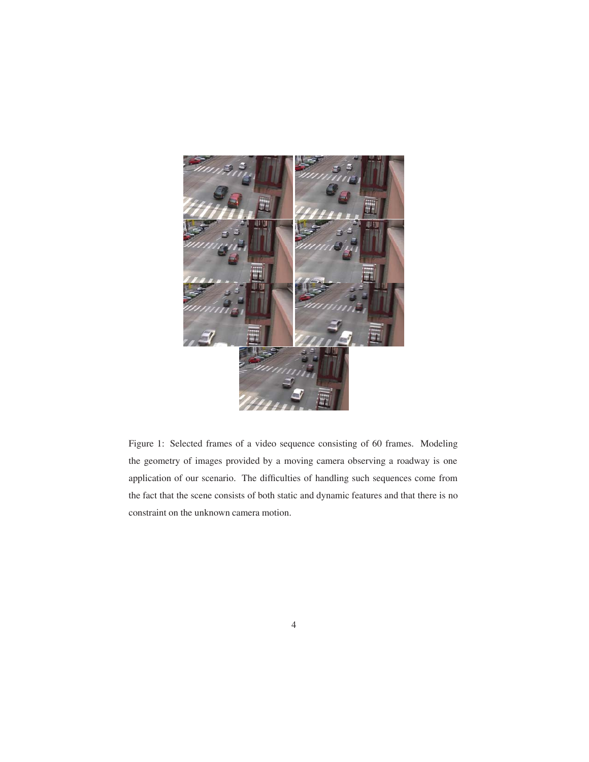

Figure 1: Selected frames of a video sequence consisting of 60 frames. Modeling the geometry of images provided by a moving camera observing a roadway is one application of our scenario. The difficulties of handling such sequences come from the fact that the scene consists of both static and dynamic features and that there is no constraint on the unknown camera motion.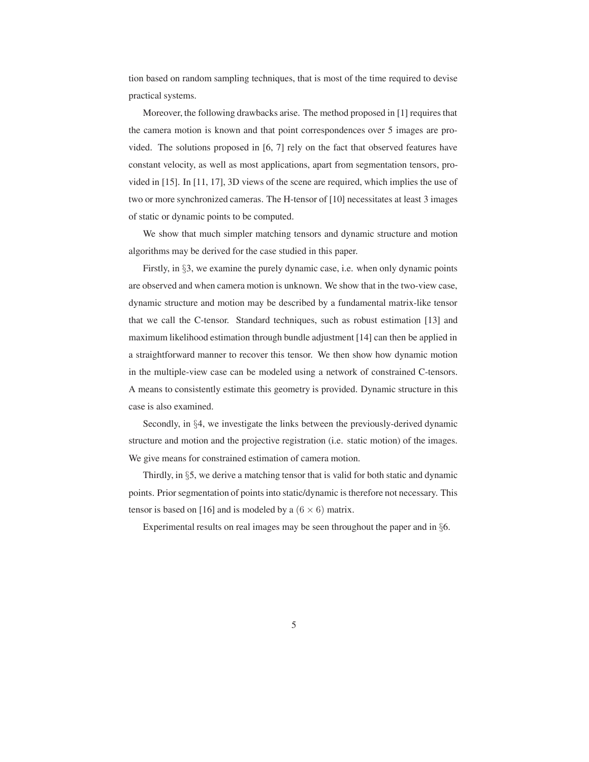tion based on random sampling techniques, that is most of the time required to devise practical systems.

Moreover, the following drawbacks arise. The method proposed in [1] requires that the camera motion is known and that point correspondences over 5 images are provided. The solutions proposed in [6, 7] rely on the fact that observed features have constant velocity, as well as most applications, apart from segmentation tensors, provided in [15]. In [11, 17], 3D views of the scene are required, which implies the use of two or more synchronized cameras. The H-tensor of [10] necessitates at least 3 images of static or dynamic points to be computed.

We show that much simpler matching tensors and dynamic structure and motion algorithms may be derived for the case studied in this paper.

Firstly, in §3, we examine the purely dynamic case, i.e. when only dynamic points are observed and when camera motion is unknown. We show that in the two-view case, dynamic structure and motion may be described by a fundamental matrix-like tensor that we call the C-tensor. Standard techniques, such as robust estimation [13] and maximum likelihood estimation through bundle adjustment [14] can then be applied in a straightforward manner to recover this tensor. We then show how dynamic motion in the multiple-view case can be modeled using a network of constrained C-tensors. A means to consistently estimate this geometry is provided. Dynamic structure in this case is also examined.

Secondly, in §4, we investigate the links between the previously-derived dynamic structure and motion and the projective registration (i.e. static motion) of the images. We give means for constrained estimation of camera motion.

Thirdly, in §5, we derive a matching tensor that is valid for both static and dynamic points. Prior segmentation of points into static/dynamic is therefore not necessary. This tensor is based on [16] and is modeled by a  $(6 \times 6)$  matrix.

Experimental results on real images may be seen throughout the paper and in §6.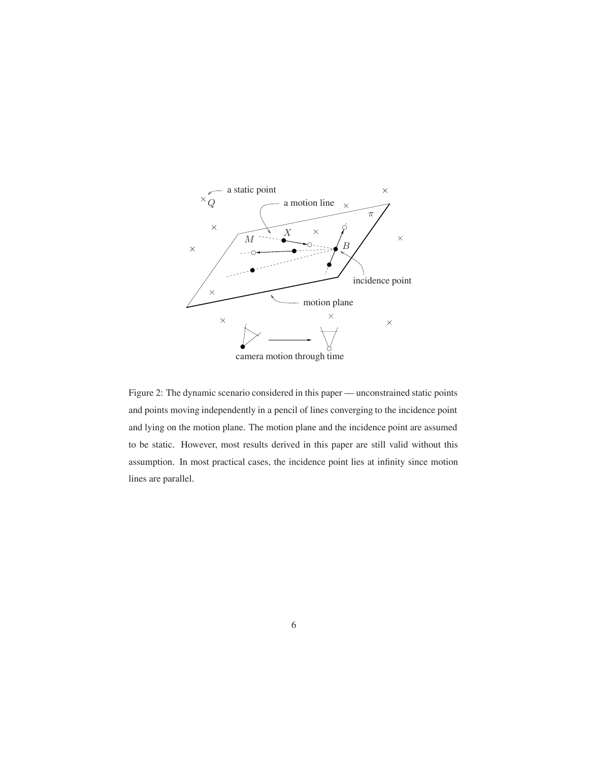

Figure 2: The dynamic scenario considered in this paper — unconstrained static points and points moving independently in a pencil of lines converging to the incidence point and lying on the motion plane. The motion plane and the incidence point are assumed to be static. However, most results derived in this paper are still valid without this assumption. In most practical cases, the incidence point lies at infinity since motion lines are parallel.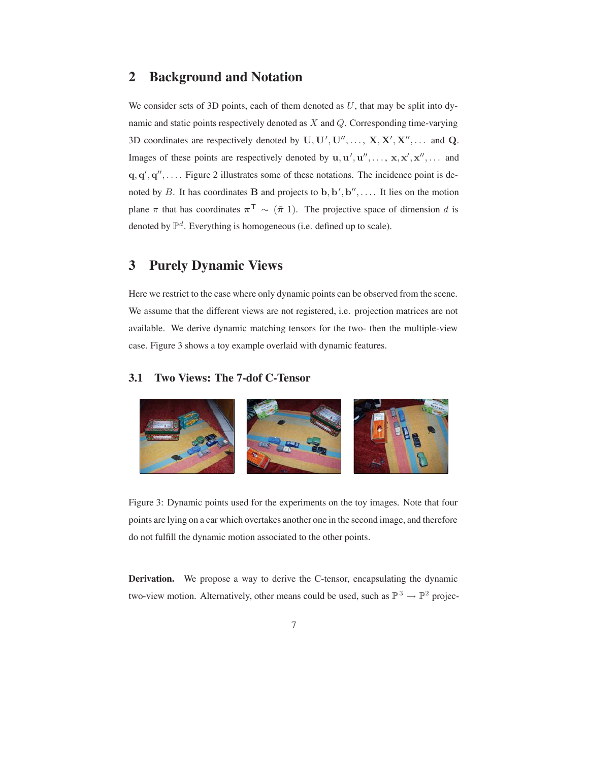### **2 Background and Notation**

We consider sets of 3D points, each of them denoted as  $U$ , that may be split into dynamic and static points respectively denoted as X and Q. Corresponding time-varying 3D coordinates are respectively denoted by  $\mathbf{U}, \mathbf{U}', \mathbf{U}'', \dots, \mathbf{X}, \mathbf{X}', \mathbf{X}'', \dots$  and  $\mathbf{Q}$ . Images of these points are respectively denoted by  $\mathbf{u}, \mathbf{u}', \mathbf{u}'', \dots, \mathbf{x}, \mathbf{x}', \mathbf{x}'', \dots$  and  $\mathbf{q}, \mathbf{q}', \mathbf{q}'', \dots$ . Figure 2 illustrates some of these notations. The incidence point is denoted by B. It has coordinates **B** and projects to **b**,  $\mathbf{b}', \mathbf{b}'', \dots$ . It lies on the motion plane  $\pi$  that has coordinates  $\pi^T \sim (\bar{\pi} 1)$ . The projective space of dimension d is denoted by  $\mathbb{P}^d$ . Everything is homogeneous (i.e. defined up to scale).

# **3 Purely Dynamic Views**

Here we restrict to the case where only dynamic points can be observed from the scene. We assume that the different views are not registered, i.e. projection matrices are not available. We derive dynamic matching tensors for the two- then the multiple-view case. Figure 3 shows a toy example overlaid with dynamic features.

#### **3.1 Two Views: The 7-dof C-Tensor**



Figure 3: Dynamic points used for the experiments on the toy images. Note that four points are lying on a car which overtakes another one in the second image, and therefore do not fulfill the dynamic motion associated to the other points.

**Derivation.** We propose a way to derive the C-tensor, encapsulating the dynamic two-view motion. Alternatively, other means could be used, such as  $\mathbb{P}^3 \to \mathbb{P}^2$  projec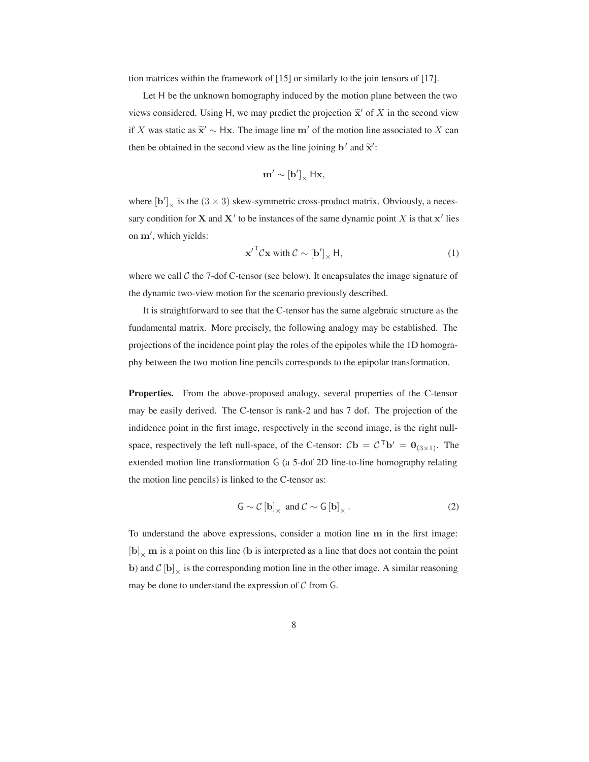tion matrices within the framework of [15] or similarly to the join tensors of [17].

Let H be the unknown homography induced by the motion plane between the two views considered. Using H, we may predict the projection  $\tilde{\mathbf{x}}'$  of X in the second view if X was static as  $\tilde{\mathbf{x}}' \sim$  Hx. The image line **m'** of the motion line associated to X can then be obtained in the second view as the line joining **b**<sup> $\prime$ </sup> and  $\tilde{\mathbf{x}}$ <sup> $\prime$ </sup>:

$$
\mathbf{m}' \sim [\mathbf{b}']_{\times} \, \mathsf{H}\mathbf{x},
$$

where  $[\mathbf{b}']_{\times}$  is the (3  $\times$  3) skew-symmetric cross-product matrix. Obviously, a necessary condition for **X** and **X**' to be instances of the same dynamic point X is that  $x'$  lies on **m** , which yields:

$$
\mathbf{x}'^{\mathsf{T}} \mathcal{C} \mathbf{x} \text{ with } \mathcal{C} \sim [\mathbf{b}']_{\times} \mathsf{H},\tag{1}
$$

where we call  $\mathcal C$  the 7-dof C-tensor (see below). It encapsulates the image signature of the dynamic two-view motion for the scenario previously described.

It is straightforward to see that the C-tensor has the same algebraic structure as the fundamental matrix. More precisely, the following analogy may be established. The projections of the incidence point play the roles of the epipoles while the 1D homography between the two motion line pencils corresponds to the epipolar transformation.

Properties. From the above-proposed analogy, several properties of the C-tensor may be easily derived. The C-tensor is rank-2 and has 7 dof. The projection of the indidence point in the first image, respectively in the second image, is the right nullspace, respectively the left null-space, of the C-tensor:  $C\mathbf{b} = C^{\mathsf{T}}\mathbf{b}' = \mathbf{0}_{(3\times1)}$ . The extended motion line transformation G (a 5-dof 2D line-to-line homography relating the motion line pencils) is linked to the C-tensor as:

$$
G \sim \mathcal{C} \left[ \mathbf{b} \right]_{\times} \text{ and } \mathcal{C} \sim G \left[ \mathbf{b} \right]_{\times} . \tag{2}
$$

To understand the above expressions, consider a motion line **m** in the first image:  $\left[\mathbf{b}\right]_{\times}$  **m** is a point on this line (**b** is interpreted as a line that does not contain the point **b**) and  $C$  [**b**]  $\times$  is the corresponding motion line in the other image. A similar reasoning may be done to understand the expression of  $C$  from  $G$ .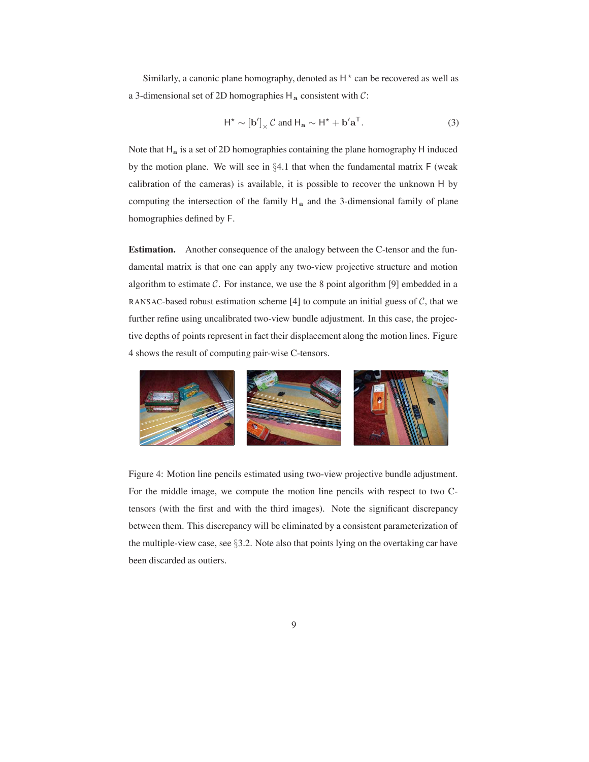Similarly, a canonic plane homography, denoted as  $H^*$  can be recovered as well as a 3-dimensional set of 2D homographies H**<sup>a</sup>** consistent with C:

$$
H^* \sim [b']_x C
$$
 and  $H_a \sim H^* + b'a^T$ . (3)

Note that H**<sup>a</sup>** is a set of 2D homographies containing the plane homography H induced by the motion plane. We will see in §4.1 that when the fundamental matrix F (weak calibration of the cameras) is available, it is possible to recover the unknown H by computing the intersection of the family H**<sup>a</sup>** and the 3-dimensional family of plane homographies defined by F.

**Estimation.** Another consequence of the analogy between the C-tensor and the fundamental matrix is that one can apply any two-view projective structure and motion algorithm to estimate  $C$ . For instance, we use the 8 point algorithm [9] embedded in a RANSAC-based robust estimation scheme [4] to compute an initial guess of  $C$ , that we further refine using uncalibrated two-view bundle adjustment. In this case, the projective depths of points represent in fact their displacement along the motion lines. Figure 4 shows the result of computing pair-wise C-tensors.



Figure 4: Motion line pencils estimated using two-view projective bundle adjustment. For the middle image, we compute the motion line pencils with respect to two Ctensors (with the first and with the third images). Note the significant discrepancy between them. This discrepancy will be eliminated by a consistent parameterization of the multiple-view case, see §3.2. Note also that points lying on the overtaking car have been discarded as outiers.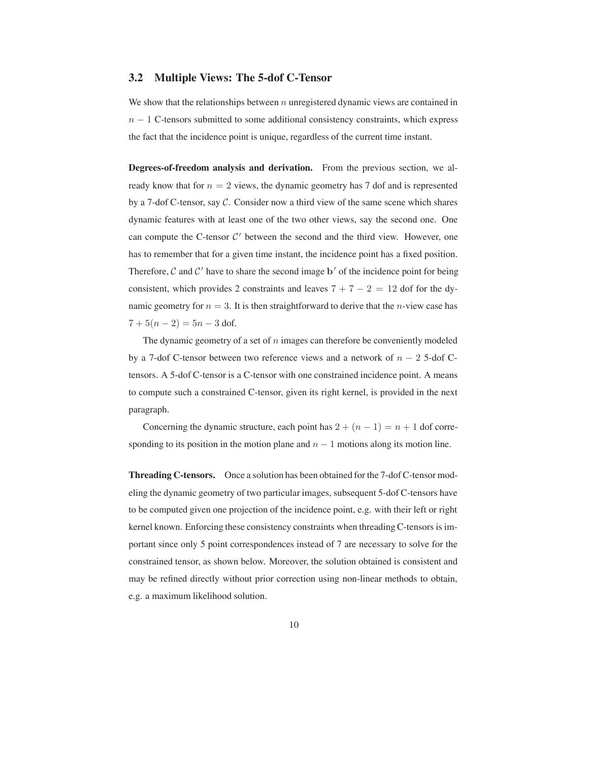#### **3.2 Multiple Views: The 5-dof C-Tensor**

We show that the relationships between  $n$  unregistered dynamic views are contained in  $n - 1$  C-tensors submitted to some additional consistency constraints, which express the fact that the incidence point is unique, regardless of the current time instant.

**Degrees-of-freedom analysis and derivation.** From the previous section, we already know that for  $n = 2$  views, the dynamic geometry has 7 dof and is represented by a 7-dof C-tensor, say C. Consider now a third view of the same scene which shares dynamic features with at least one of the two other views, say the second one. One can compute the C-tensor  $C'$  between the second and the third view. However, one has to remember that for a given time instant, the incidence point has a fixed position. Therefore, C and  $C'$  have to share the second image **b**' of the incidence point for being consistent, which provides 2 constraints and leaves  $7+7-2 = 12$  dof for the dynamic geometry for  $n = 3$ . It is then straightforward to derive that the *n*-view case has  $7 + 5(n - 2) = 5n - 3$  dof.

The dynamic geometry of a set of  $n$  images can therefore be conveniently modeled by a 7-dof C-tensor between two reference views and a network of  $n - 2$  5-dof Ctensors. A 5-dof C-tensor is a C-tensor with one constrained incidence point. A means to compute such a constrained C-tensor, given its right kernel, is provided in the next paragraph.

Concerning the dynamic structure, each point has  $2+(n-1) = n+1$  dof corresponding to its position in the motion plane and  $n - 1$  motions along its motion line.

**Threading C-tensors.** Once a solution has been obtained for the 7-dof C-tensor modeling the dynamic geometry of two particular images, subsequent 5-dof C-tensors have to be computed given one projection of the incidence point, e.g. with their left or right kernel known. Enforcing these consistency constraints when threading C-tensors is important since only 5 point correspondences instead of 7 are necessary to solve for the constrained tensor, as shown below. Moreover, the solution obtained is consistent and may be refined directly without prior correction using non-linear methods to obtain, e.g. a maximum likelihood solution.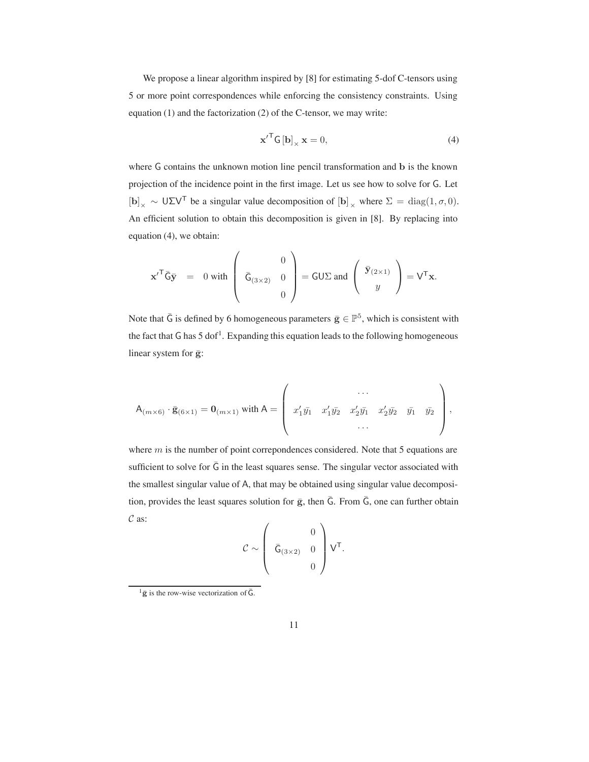We propose a linear algorithm inspired by [8] for estimating 5-dof C-tensors using 5 or more point correspondences while enforcing the consistency constraints. Using equation (1) and the factorization (2) of the C-tensor, we may write:

$$
\mathbf{x}'^{\mathsf{T}} \mathsf{G} \left[ \mathbf{b} \right]_{\times} \mathbf{x} = 0,\tag{4}
$$

where <sup>G</sup> contains the unknown motion line pencil transformation and **b** is the known projection of the incidence point in the first image. Let us see how to solve for G. Let  $[\mathbf{b}]_{\times} \sim \mathsf{U} \Sigma \mathsf{V}^{\mathsf{T}}$  be a singular value decomposition of  $[\mathbf{b}]_{\times}$  where  $\Sigma = \text{diag}(1, \sigma, 0)$ . An efficient solution to obtain this decomposition is given in [8]. By replacing into equation (4), we obtain:

$$
\mathbf{x}'^{\mathsf{T}}\bar{\mathsf{G}}\bar{\mathbf{y}} = 0 \text{ with } \begin{pmatrix} 0 \\ \bar{\mathsf{G}}_{(3\times 2)} & 0 \\ 0 \end{pmatrix} = \mathsf{GU}\Sigma \text{ and } \begin{pmatrix} \bar{\mathbf{y}}_{(2\times 1)} \\ y \end{pmatrix} = \mathsf{V}^{\mathsf{T}}\mathbf{x}.
$$

Note that  $\bar{G}$  is defined by 6 homogeneous parameters  $\bar{g} \in \mathbb{P}^5$ , which is consistent with the fact that  $G$  has  $5$  dof<sup>1</sup>. Expanding this equation leads to the following homogeneous linear system for  $\bar{g}$ :

$$
\mathsf{A}_{(m\times6)}\cdot\bar{\mathsf{g}}_{(6\times1)}=\mathsf{0}_{(m\times1)}\text{ with }\mathsf{A}=\left(\begin{array}{ccccc}\cdots\\x_1'y_1&x_1'y_2&x_2'y_1&x_2'y_2&y_1&y_2\\ \cdots&\cdots&\cdots&\cdots\\ \cdots&\cdots&\cdots&\cdots\end{array}\right),
$$

where  $m$  is the number of point correpondences considered. Note that 5 equations are sufficient to solve for  $\bar{G}$  in the least squares sense. The singular vector associated with the smallest singular value of A, that may be obtained using singular value decomposition, provides the least squares solution for  $\bar{g}$ , then  $\bar{G}$ . From  $\bar{G}$ , one can further obtain  $\mathcal{C}$  as:

$$
\mathcal{C} \sim \left( \begin{array}{cc} & 0 \\ \bar{\mathsf{G}}_{(3\times2)} & 0 \\ & 0 \end{array} \right) \mathsf{V}^{\mathsf{T}}.
$$

 $\frac{1}{9}$  is the row-wise vectorization of  $\overline{G}$ .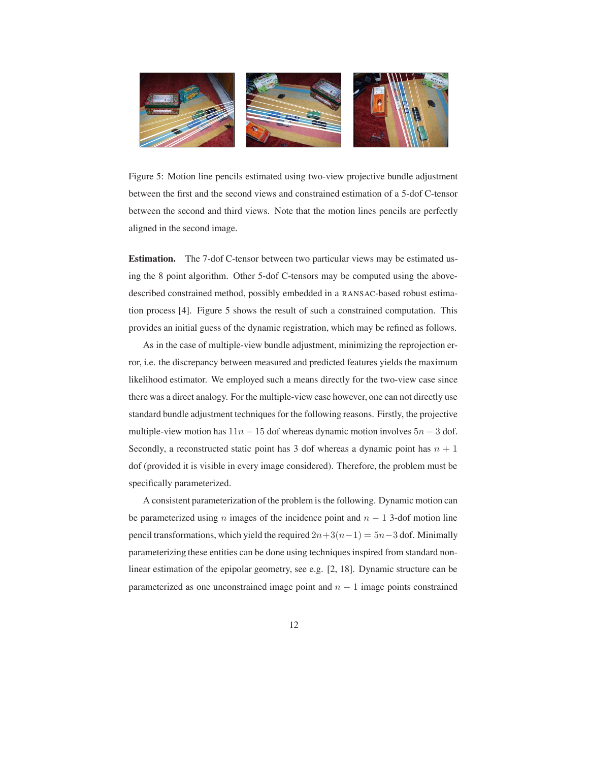

Figure 5: Motion line pencils estimated using two-view projective bundle adjustment between the first and the second views and constrained estimation of a 5-dof C-tensor between the second and third views. Note that the motion lines pencils are perfectly aligned in the second image.

**Estimation.** The 7-dof C-tensor between two particular views may be estimated using the 8 point algorithm. Other 5-dof C-tensors may be computed using the abovedescribed constrained method, possibly embedded in a RANSAC-based robust estimation process [4]. Figure 5 shows the result of such a constrained computation. This provides an initial guess of the dynamic registration, which may be refined as follows.

As in the case of multiple-view bundle adjustment, minimizing the reprojection error, i.e. the discrepancy between measured and predicted features yields the maximum likelihood estimator. We employed such a means directly for the two-view case since there was a direct analogy. For the multiple-view case however, one can not directly use standard bundle adjustment techniques for the following reasons. Firstly, the projective multiple-view motion has  $11n - 15$  dof whereas dynamic motion involves  $5n - 3$  dof. Secondly, a reconstructed static point has 3 dof whereas a dynamic point has  $n + 1$ dof (provided it is visible in every image considered). Therefore, the problem must be specifically parameterized.

A consistent parameterization of the problem is the following. Dynamic motion can be parameterized using n images of the incidence point and  $n - 1$  3-dof motion line pencil transformations, which yield the required  $2n+3(n-1) = 5n-3$  dof. Minimally parameterizing these entities can be done using techniques inspired from standard nonlinear estimation of the epipolar geometry, see e.g. [2, 18]. Dynamic structure can be parameterized as one unconstrained image point and  $n - 1$  image points constrained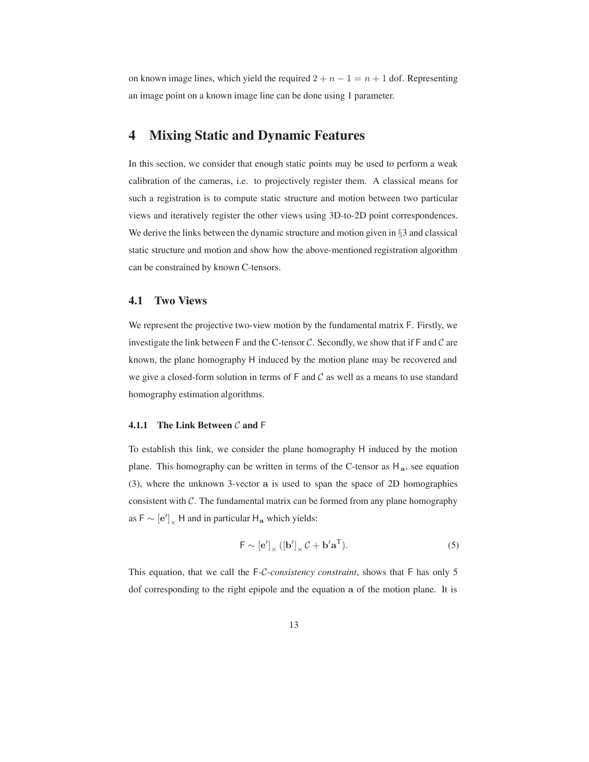on known image lines, which yield the required  $2 + n - 1 = n + 1$  dof. Representing an image point on a known image line can be done using 1 parameter.

# **4 Mixing Static and Dynamic Features**

In this section, we consider that enough static points may be used to perform a weak calibration of the cameras, i.e. to projectively register them. A classical means for such a registration is to compute static structure and motion between two particular views and iteratively register the other views using 3D-to-2D point correspondences. We derive the links between the dynamic structure and motion given in §3 and classical static structure and motion and show how the above-mentioned registration algorithm can be constrained by known C-tensors.

#### **4.1 Two Views**

We represent the projective two-view motion by the fundamental matrix F. Firstly, we investigate the link between F and the C-tensor  $C$ . Secondly, we show that if F and  $C$  are known, the plane homography H induced by the motion plane may be recovered and we give a closed-form solution in terms of  $F$  and  $C$  as well as a means to use standard homography estimation algorithms.

#### **4.1.1 The Link Between** C **and** F

To establish this link, we consider the plane homography H induced by the motion plane. This homography can be written in terms of the C-tensor as  $H_a$ , see equation (3), where the unknown 3-vector **a** is used to span the space of 2D homographies consistent with  $C$ . The fundamental matrix can be formed from any plane homography as  $F \sim [e']_x$  H and in particular H<sub>a</sub> which yields:

$$
\mathsf{F} \sim \left[\mathbf{e}^{\prime}\right]_{\times} \left(\left[\mathbf{b}^{\prime}\right]_{\times} \mathcal{C} + \mathbf{b}^{\prime} \mathbf{a}^{\mathsf{T}}\right). \tag{5}
$$

This equation, that we call the F*-*C*-consistency constraint*, shows that F has only 5 dof corresponding to the right epipole and the equation **a** of the motion plane. It is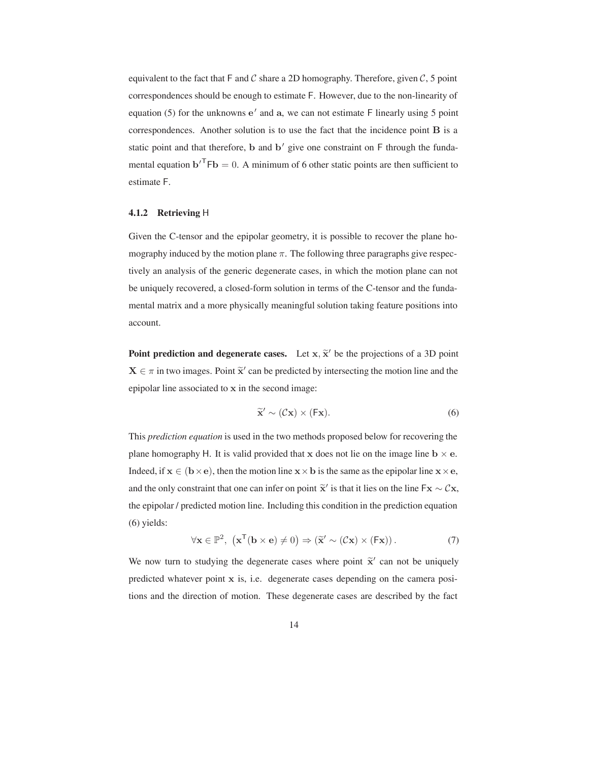equivalent to the fact that  $F$  and  $C$  share a 2D homography. Therefore, given  $C$ , 5 point correspondences should be enough to estimate F. However, due to the non-linearity of equation (5) for the unknowns  $e'$  and  $a$ , we can not estimate F linearly using 5 point correspondences. Another solution is to use the fact that the incidence point **B** is a static point and that therefore,  $\bf{b}$  and  $\bf{b}'$  give one constraint on  $\bf{F}$  through the fundamental equation  ${\bf b}'^{\mathsf{T}}$ F ${\bf b} = 0$ . A minimum of 6 other static points are then sufficient to estimate F.

#### **4.1.2 Retrieving** H

Given the C-tensor and the epipolar geometry, it is possible to recover the plane homography induced by the motion plane  $\pi$ . The following three paragraphs give respectively an analysis of the generic degenerate cases, in which the motion plane can not be uniquely recovered, a closed-form solution in terms of the C-tensor and the fundamental matrix and a more physically meaningful solution taking feature positions into account.

**Point prediction and degenerate cases.** Let  $x$ ,  $\tilde{x}'$  be the projections of a 3D point  $X \in \pi$  in two images. Point  $\tilde{x}'$  can be predicted by intersecting the motion line and the epipolar line associated to **x** in the second image:

$$
\widetilde{\mathbf{x}}' \sim (\mathcal{C}\mathbf{x}) \times (\mathsf{F}\mathbf{x}).\tag{6}
$$

This *prediction equation* is used in the two methods proposed below for recovering the plane homography H. It is valid provided that **x** does not lie on the image line  $\mathbf{b} \times \mathbf{e}$ . Indeed, if  $x \in (b \times e)$ , then the motion line  $x \times b$  is the same as the epipolar line  $x \times e$ , and the only constraint that one can infer on point  $\tilde{\mathbf{x}}'$  is that it lies on the line  $\mathbf{F}\mathbf{x} \sim \mathcal{C}\mathbf{x}$ , the epipolar / predicted motion line. Including this condition in the prediction equation (6) yields:

$$
\forall \mathbf{x} \in \mathbb{P}^2, \ (\mathbf{x}^{\mathsf{T}}(\mathbf{b} \times \mathbf{e}) \neq 0) \Rightarrow (\widetilde{\mathbf{x}}' \sim (\mathcal{C}\mathbf{x}) \times (\mathsf{F}\mathbf{x})). \tag{7}
$$

We now turn to studying the degenerate cases where point  $\tilde{x}$  can not be uniquely predicted whatever point **x** is, i.e. degenerate cases depending on the camera positions and the direction of motion. These degenerate cases are described by the fact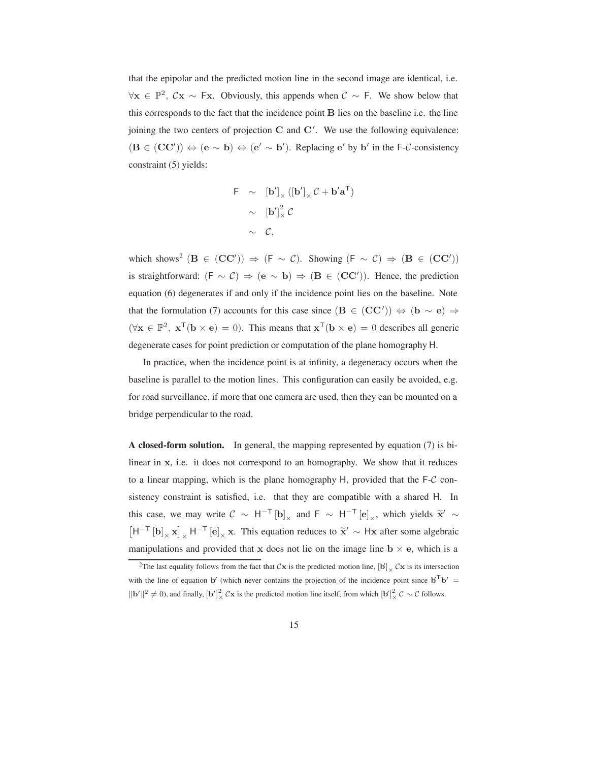that the epipolar and the predicted motion line in the second image are identical, i.e.  $\forall$ **x** ∈  $\mathbb{P}^2$ ,  $\mathcal{C}$ **x** ~ **Fx**. Obviously, this appends when  $\mathcal{C}$  ~ **F**. We show below that this corresponds to the fact that the incidence point **B** lies on the baseline i.e. the line joining the two centers of projection **C** and **C** . We use the following equivalence:  $(**B** ∈ (**CC'**)$ ) ⇔ (**e** ~ **b**) ⇔ (**e'** ~ **b'**). Replacing **e'** by **b'** in the F-C-consistency constraint (5) yields:

$$
F \sim [b']_x ([b']_x C + b'a^T)
$$

$$
\sim [b']_x^2 C
$$

$$
\sim C,
$$

which shows<sup>2</sup> (**B** ∈ (**CC'**))  $\Rightarrow$  (**F** ~ C). Showing (**F** ~ C)  $\Rightarrow$  (**B** ∈ (**CC'**)) is straightforward:  $(F \sim C) \Rightarrow (e \sim b) \Rightarrow (B \in (CC'))$ . Hence, the prediction equation (6) degenerates if and only if the incidence point lies on the baseline. Note that the formulation (7) accounts for this case since  $(\mathbf{B} \in (\mathbf{CC'})) \Leftrightarrow (\mathbf{b} \sim \mathbf{e}) \Rightarrow$  $(\forall \mathbf{x} \in \mathbb{P}^2, \mathbf{x}^\mathsf{T}(\mathbf{b} \times \mathbf{e}) = 0)$ . This means that  $\mathbf{x}^\mathsf{T}(\mathbf{b} \times \mathbf{e}) = 0$  describes all generic degenerate cases for point prediction or computation of the plane homography H.

In practice, when the incidence point is at infinity, a degeneracy occurs when the baseline is parallel to the motion lines. This configuration can easily be avoided, e.g. for road surveillance, if more that one camera are used, then they can be mounted on a bridge perpendicular to the road.

**A closed-form solution.** In general, the mapping represented by equation (7) is bilinear in **x**, i.e. it does not correspond to an homography. We show that it reduces to a linear mapping, which is the plane homography H, provided that the  $F-C$  consistency constraint is satisfied, i.e. that they are compatible with a shared H. In this case, we may write  $C \sim H^{-T} [\mathbf{b}]_{\times}$  and  $F \sim H^{-T} [\mathbf{e}]$ this case, we may write  $C \sim H^{-T} [\mathbf{b}]_{\times}$  and  $F \sim H^{-T} [\mathbf{e}]_{\times}$ , which yields  $\tilde{\mathbf{x}}' \sim$ <br> $[H^{-T} [\mathbf{b}]_{\times} \mathbf{x}]_{\times} H^{-T} [\mathbf{e}]_{\times} \mathbf{x}$ . This equation reduces to  $\tilde{\mathbf{x}}' \sim H\mathbf{x}$  after some algebraic  $[H^{-T} [\mathbf{b}]_{\times} \mathbf{x}]$  $\int_{\mathsf{X}} \mathsf{H}^{-T}[\mathbf{e}]_{\mathsf{X}}$  **x**. This equation reduces to  $\tilde{\mathbf{x}}' \sim \mathsf{H}\mathbf{x}$  after some algebraic manipulations and provided that **x** does not lie on the image line  $\mathbf{b} \times \mathbf{e}$ , which is a

<sup>&</sup>lt;sup>2</sup>The last equality follows from the fact that  $C\mathbf{x}$  is the predicted motion line,  $[\mathbf{b}] \times C\mathbf{x}$  is its intersection with the line of equation **b**' (which never contains the projection of the incidence point since  $\mathbf{b}^T \mathbf{b}' =$  $||\mathbf{b}'||^2 \neq 0$ ), and finally,  $[\mathbf{b}']^2_{\times}$  C**x** is the predicted motion line itself, from which  $[\mathbf{b}']^2_{\times}$  C ~ C follows.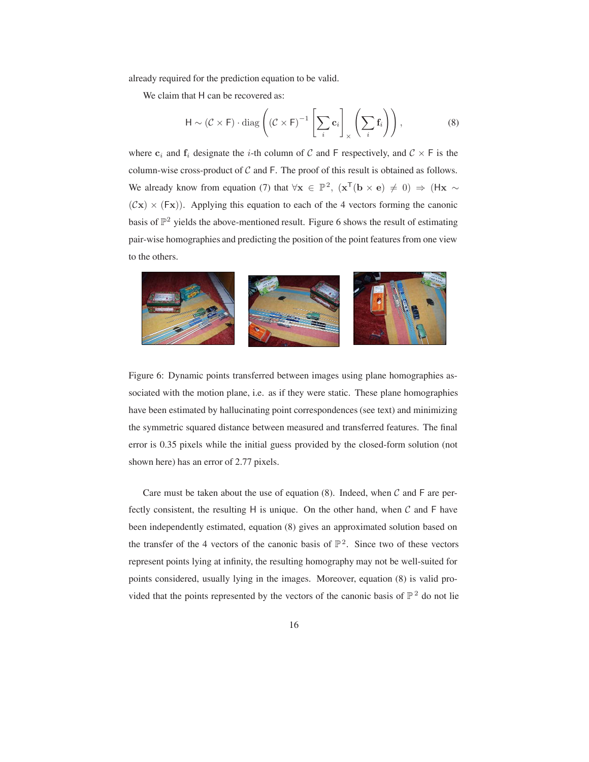already required for the prediction equation to be valid.

We claim that H can be recovered as:

$$
\mathsf{H} \sim (\mathcal{C} \times \mathsf{F}) \cdot \text{diag}\left( (\mathcal{C} \times \mathsf{F})^{-1} \left[ \sum_{i} \mathbf{c}_{i} \right]_{\times} \left( \sum_{i} \mathbf{f}_{i} \right) \right),\tag{8}
$$

where  $c_i$  and  $f_i$  designate the *i*-th column of C and F respectively, and  $C \times F$  is the column-wise cross-product of  $C$  and  $F$ . The proof of this result is obtained as follows. We already know from equation (7) that  $\forall x \in \mathbb{P}^2$ ,  $(x^T(b \times e) \neq 0) \Rightarrow (Hx \sim e)$  $(Cx) \times (Fx)$ ). Applying this equation to each of the 4 vectors forming the canonic basis of  $\mathbb{P}^2$  yields the above-mentioned result. Figure 6 shows the result of estimating pair-wise homographies and predicting the position of the point features from one view to the others.



Figure 6: Dynamic points transferred between images using plane homographies associated with the motion plane, i.e. as if they were static. These plane homographies have been estimated by hallucinating point correspondences (see text) and minimizing the symmetric squared distance between measured and transferred features. The final error is 0.35 pixels while the initial guess provided by the closed-form solution (not shown here) has an error of 2.77 pixels.

Care must be taken about the use of equation (8). Indeed, when  $\mathcal C$  and  $\mathsf F$  are perfectly consistent, the resulting H is unique. On the other hand, when  $\mathcal C$  and F have been independently estimated, equation (8) gives an approximated solution based on the transfer of the 4 vectors of the canonic basis of  $\mathbb{P}^2$ . Since two of these vectors represent points lying at infinity, the resulting homography may not be well-suited for points considered, usually lying in the images. Moreover, equation (8) is valid provided that the points represented by the vectors of the canonic basis of  $\mathbb{P}^2$  do not lie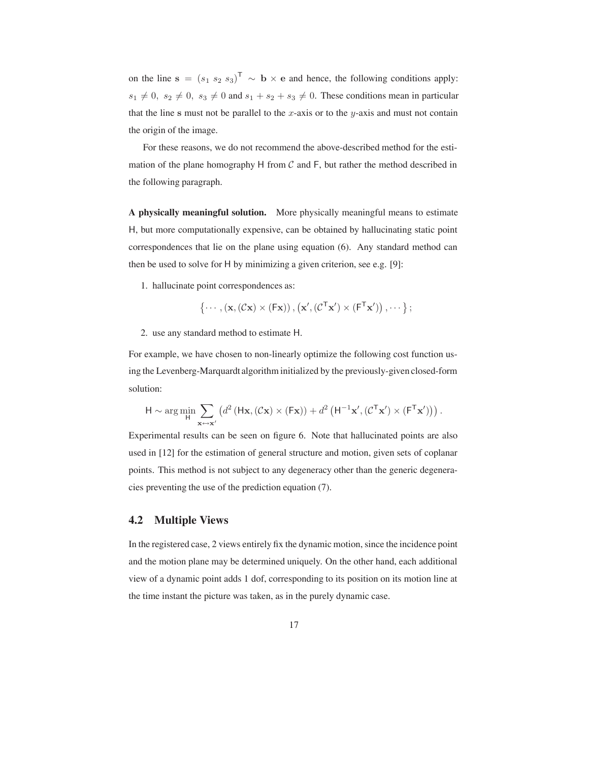on the line **s** =  $(s_1 \ s_2 \ s_3)^T \sim \mathbf{b} \times \mathbf{e}$  and hence, the following conditions apply:  $s_1 \neq 0$ ,  $s_2 \neq 0$ ,  $s_3 \neq 0$  and  $s_1 + s_2 + s_3 \neq 0$ . These conditions mean in particular that the line  $s$  must not be parallel to the  $x$ -axis or to the  $y$ -axis and must not contain the origin of the image.

For these reasons, we do not recommend the above-described method for the estimation of the plane homography H from  $\mathcal C$  and F, but rather the method described in the following paragraph.

**A physically meaningful solution.** More physically meaningful means to estimate H, but more computationally expensive, can be obtained by hallucinating static point correspondences that lie on the plane using equation (6). Any standard method can then be used to solve for H by minimizing a given criterion, see e.g. [9]:

1. hallucinate point correspondences as:

$$
\{\cdots, (\mathbf{x}, (\mathcal{C}\mathbf{x}) \times (\mathsf{F}\mathbf{x})), (\mathbf{x}', (\mathcal{C}^\mathsf{T}\mathbf{x}') \times (\mathsf{F}^\mathsf{T}\mathbf{x}')) , \cdots \};
$$

2. use any standard method to estimate H.

For example, we have chosen to non-linearly optimize the following cost function using the Levenberg-Marquardt algorithm initialized by the previously-given closed-form solution:

$$
\mathsf{H} \sim \arg\min_{\mathsf{H}} \sum_{\mathbf{x} \mapsto \mathbf{x}'} \left( d^2 \left( \mathsf{H}\mathbf{x}, (\mathcal{C}\mathbf{x}) \times (\mathsf{F}\mathbf{x}) \right) + d^2 \left( \mathsf{H}^{-1}\mathbf{x}', (\mathcal{C}^\mathsf{T}\mathbf{x}') \times (\mathsf{F}^\mathsf{T}\mathbf{x}') \right) \right).
$$

Experimental results can be seen on figure 6. Note that hallucinated points are also used in [12] for the estimation of general structure and motion, given sets of coplanar points. This method is not subject to any degeneracy other than the generic degeneracies preventing the use of the prediction equation (7).

#### **4.2 Multiple Views**

In the registered case, 2 views entirely fix the dynamic motion, since the incidence point and the motion plane may be determined uniquely. On the other hand, each additional view of a dynamic point adds 1 dof, corresponding to its position on its motion line at the time instant the picture was taken, as in the purely dynamic case.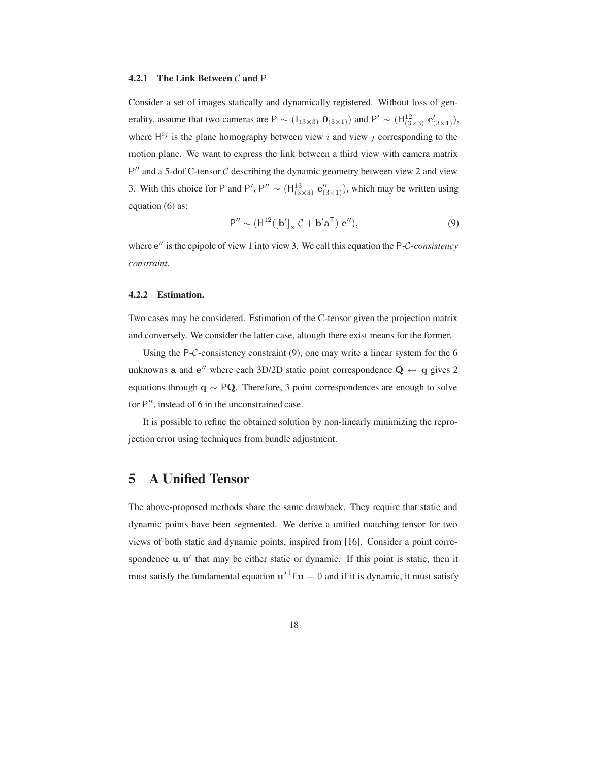#### **4.2.1 The Link Between** C **and** P

Consider a set of images statically and dynamically registered. Without loss of generality, assume that two cameras are P  $\sim (I_{(3\times3)} \ 0_{(3\times1)})$  and P'  $\sim (H_{(3\times3)}^{12} \ e'_{(3\times1)})$ , where  $H^{ij}$  is the plane homography between view i and view j corresponding to the motion plane. We want to express the link between a third view with camera matrix  $P''$  and a 5-dof C-tensor  $C$  describing the dynamic geometry between view 2 and view 3. With this choice for P and P', P''  $\sim$  (H<sup>13</sup><sub>(3×3)</sub>  $e''_{(3\times1)}$ ), which may be written using equation (6) as:

$$
\mathsf{P}'' \sim (\mathsf{H}^{12}([\mathbf{b}'] \times \mathcal{C} + \mathbf{b}' \mathbf{a}^{\mathsf{T}}) \mathbf{e}''),\tag{9}
$$

where  $e^{\prime\prime}$  is the epipole of view 1 into view 3. We call this equation the P-C-consistency *constraint*.

#### **4.2.2 Estimation.**

Two cases may be considered. Estimation of the C-tensor given the projection matrix and conversely. We consider the latter case, altough there exist means for the former.

Using the  $P-C$ -consistency constraint (9), one may write a linear system for the 6 unknowns **a** and **e**<sup>"</sup> where each 3D/2D static point correspondence  $Q \leftrightarrow q$  gives 2 equations through **q** <sup>∼</sup> <sup>P</sup>**Q**. Therefore, 3 point correspondences are enough to solve for  $P''$ , instead of 6 in the unconstrained case.

It is possible to refine the obtained solution by non-linearly minimizing the reprojection error using techniques from bundle adjustment.

### **5 A Unified Tensor**

The above-proposed methods share the same drawback. They require that static and dynamic points have been segmented. We derive a unified matching tensor for two views of both static and dynamic points, inspired from [16]. Consider a point correspondence  $\bf{u}, \bf{u}'$  that may be either static or dynamic. If this point is static, then it must satisfy the fundamental equation  $\mathbf{u}'^T F \mathbf{u} = 0$  and if it is dynamic, it must satisfy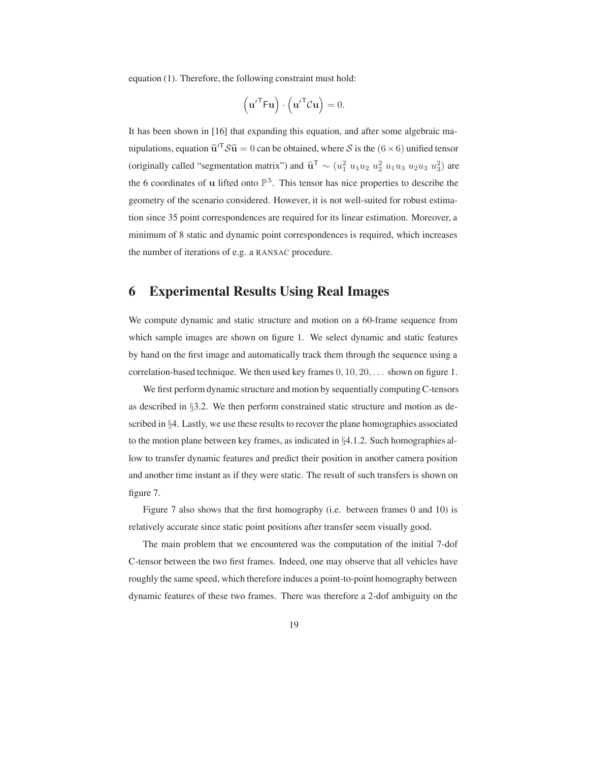equation (1). Therefore, the following constraint must hold:

$$
\left(\mathbf{u}'^{\mathsf{T}}\mathsf{F}\mathbf{u}\right)\cdot\left(\mathbf{u}'^{\mathsf{T}}\mathcal{C}\mathbf{u}\right)=0.
$$

It has been shown in [16] that expanding this equation, and after some algebraic manipulations, equation  $\hat{\mathbf{u}}^T S \hat{\mathbf{u}} = 0$  can be obtained, where S is the  $(6 \times 6)$  unified tensor (originally called "segmentation matrix") and  $\hat{\mathbf{u}}^T \sim (u_1^2 u_1 u_2 u_2^2 u_1 u_3 u_2 u_3 u_3^2)$  are the 6 coordinates of **u** lifted onto  $\mathbb{P}^5$ . This tensor has nice properties to describe the geometry of the scenario considered. However, it is not well-suited for robust estimation since 35 point correspondences are required for its linear estimation. Moreover, a minimum of 8 static and dynamic point correspondences is required, which increases the number of iterations of e.g. a RANSAC procedure.

# **6 Experimental Results Using Real Images**

We compute dynamic and static structure and motion on a 60-frame sequence from which sample images are shown on figure 1. We select dynamic and static features by hand on the first image and automatically track them through the sequence using a correlation-based technique. We then used key frames  $0, 10, 20, \ldots$  shown on figure 1.

We first perform dynamic structure and motion by sequentially computing C-tensors as described in §3.2. We then perform constrained static structure and motion as described in §4. Lastly, we use these results to recover the plane homographies associated to the motion plane between key frames, as indicated in §4.1.2. Such homographies allow to transfer dynamic features and predict their position in another camera position and another time instant as if they were static. The result of such transfers is shown on figure 7.

Figure 7 also shows that the first homography (i.e. between frames 0 and 10) is relatively accurate since static point positions after transfer seem visually good.

The main problem that we encountered was the computation of the initial 7-dof C-tensor between the two first frames. Indeed, one may observe that all vehicles have roughly the same speed, which therefore induces a point-to-point homography between dynamic features of these two frames. There was therefore a 2-dof ambiguity on the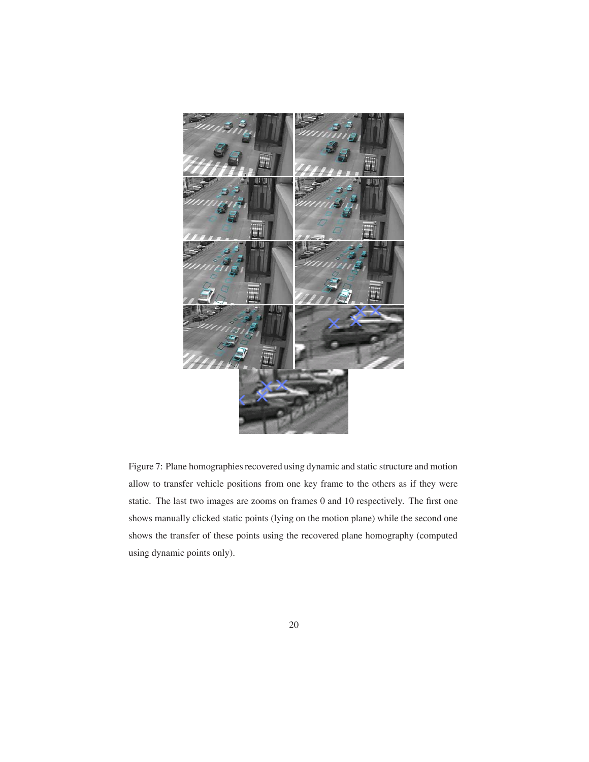

Figure 7: Plane homographies recovered using dynamic and static structure and motion allow to transfer vehicle positions from one key frame to the others as if they were static. The last two images are zooms on frames 0 and 10 respectively. The first one shows manually clicked static points (lying on the motion plane) while the second one shows the transfer of these points using the recovered plane homography (computed using dynamic points only).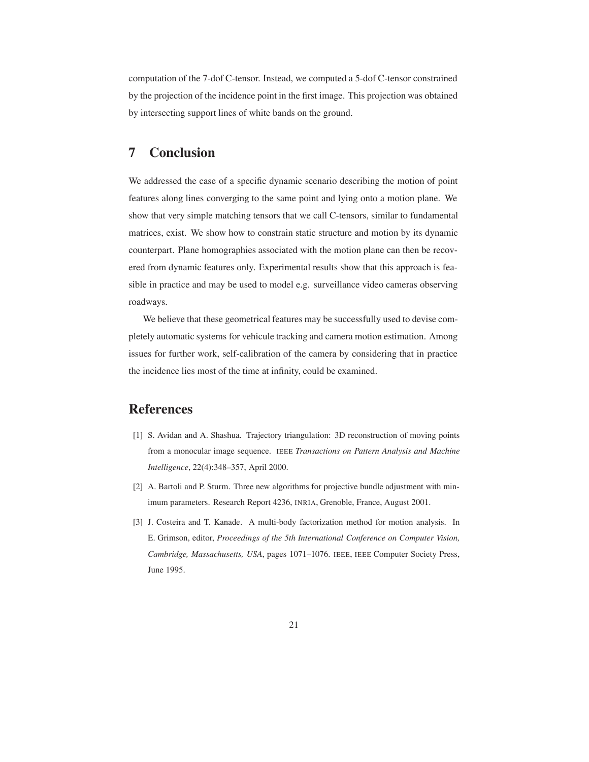computation of the 7-dof C-tensor. Instead, we computed a 5-dof C-tensor constrained by the projection of the incidence point in the first image. This projection was obtained by intersecting support lines of white bands on the ground.

# **7 Conclusion**

We addressed the case of a specific dynamic scenario describing the motion of point features along lines converging to the same point and lying onto a motion plane. We show that very simple matching tensors that we call C-tensors, similar to fundamental matrices, exist. We show how to constrain static structure and motion by its dynamic counterpart. Plane homographies associated with the motion plane can then be recovered from dynamic features only. Experimental results show that this approach is feasible in practice and may be used to model e.g. surveillance video cameras observing roadways.

We believe that these geometrical features may be successfully used to devise completely automatic systems for vehicule tracking and camera motion estimation. Among issues for further work, self-calibration of the camera by considering that in practice the incidence lies most of the time at infinity, could be examined.

# **References**

- [1] S. Avidan and A. Shashua. Trajectory triangulation: 3D reconstruction of moving points from a monocular image sequence. IEEE *Transactions on Pattern Analysis and Machine Intelligence*, 22(4):348–357, April 2000.
- [2] A. Bartoli and P. Sturm. Three new algorithms for projective bundle adjustment with minimum parameters. Research Report 4236, INRIA, Grenoble, France, August 2001.
- [3] J. Costeira and T. Kanade. A multi-body factorization method for motion analysis. In E. Grimson, editor, *Proceedings of the 5th International Conference on Computer Vision, Cambridge, Massachusetts, USA*, pages 1071–1076. IEEE, IEEE Computer Society Press, June 1995.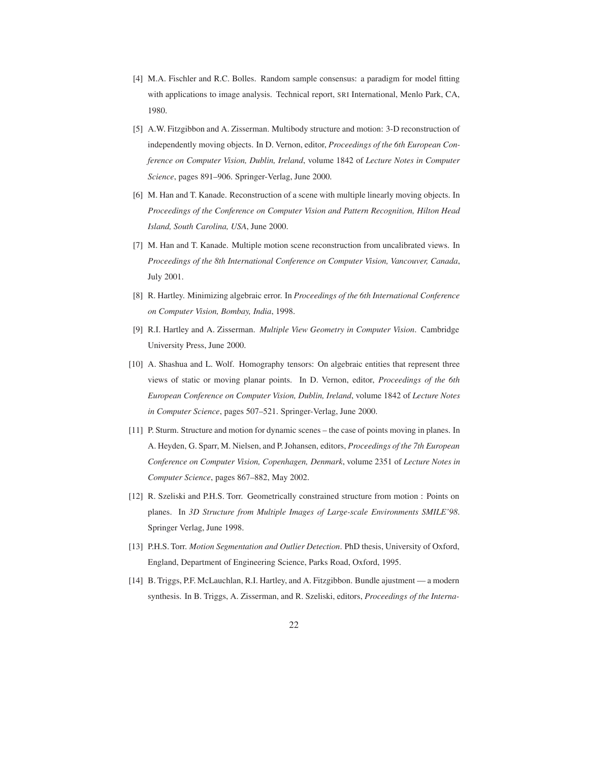- [4] M.A. Fischler and R.C. Bolles. Random sample consensus: a paradigm for model fitting with applications to image analysis. Technical report, SRI International, Menlo Park, CA, 1980.
- [5] A.W. Fitzgibbon and A. Zisserman. Multibody structure and motion: 3-D reconstruction of independently moving objects. In D. Vernon, editor, *Proceedings of the 6th European Conference on Computer Vision, Dublin, Ireland*, volume 1842 of *Lecture Notes in Computer Science*, pages 891–906. Springer-Verlag, June 2000.
- [6] M. Han and T. Kanade. Reconstruction of a scene with multiple linearly moving objects. In *Proceedings of the Conference on Computer Vision and Pattern Recognition, Hilton Head Island, South Carolina, USA*, June 2000.
- [7] M. Han and T. Kanade. Multiple motion scene reconstruction from uncalibrated views. In *Proceedings of the 8th International Conference on Computer Vision, Vancouver, Canada*, July 2001.
- [8] R. Hartley. Minimizing algebraic error. In *Proceedings of the 6th International Conference on Computer Vision, Bombay, India*, 1998.
- [9] R.I. Hartley and A. Zisserman. *Multiple View Geometry in Computer Vision*. Cambridge University Press, June 2000.
- [10] A. Shashua and L. Wolf. Homography tensors: On algebraic entities that represent three views of static or moving planar points. In D. Vernon, editor, *Proceedings of the 6th European Conference on Computer Vision, Dublin, Ireland*, volume 1842 of *Lecture Notes in Computer Science*, pages 507–521. Springer-Verlag, June 2000.
- [11] P. Sturm. Structure and motion for dynamic scenes the case of points moving in planes. In A. Heyden, G. Sparr, M. Nielsen, and P. Johansen, editors, *Proceedings of the 7th European Conference on Computer Vision, Copenhagen, Denmark*, volume 2351 of *Lecture Notes in Computer Science*, pages 867–882, May 2002.
- [12] R. Szeliski and P.H.S. Torr. Geometrically constrained structure from motion : Points on planes. In *3D Structure from Multiple Images of Large-scale Environments SMILE'98*. Springer Verlag, June 1998.
- [13] P.H.S. Torr. *Motion Segmentation and Outlier Detection*. PhD thesis, University of Oxford, England, Department of Engineering Science, Parks Road, Oxford, 1995.
- [14] B. Triggs, P.F. McLauchlan, R.I. Hartley, and A. Fitzgibbon. Bundle ajustment a modern synthesis. In B. Triggs, A. Zisserman, and R. Szeliski, editors, *Proceedings of the Interna-*